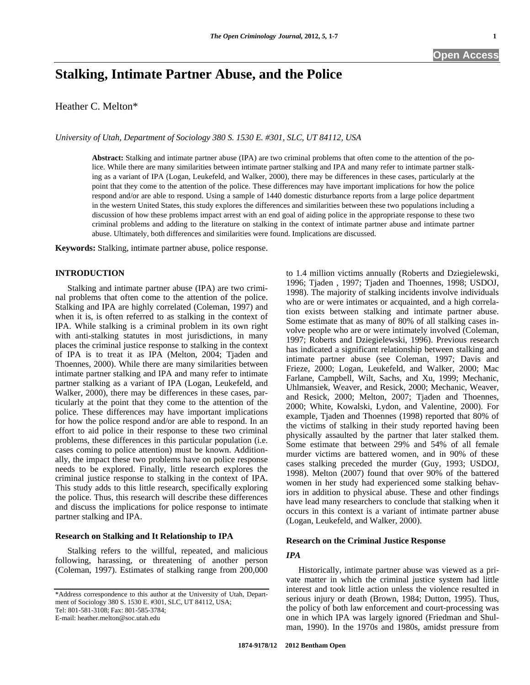# **Stalking, Intimate Partner Abuse, and the Police**

Heather C. Melton\*

*University of Utah, Department of Sociology 380 S. 1530 E. #301, SLC, UT 84112, USA* 

**Abstract:** Stalking and intimate partner abuse (IPA) are two criminal problems that often come to the attention of the police. While there are many similarities between intimate partner stalking and IPA and many refer to intimate partner stalking as a variant of IPA (Logan, Leukefeld, and Walker, 2000), there may be differences in these cases, particularly at the point that they come to the attention of the police. These differences may have important implications for how the police respond and/or are able to respond. Using a sample of 1440 domestic disturbance reports from a large police department in the western United States, this study explores the differences and similarities between these two populations including a discussion of how these problems impact arrest with an end goal of aiding police in the appropriate response to these two criminal problems and adding to the literature on stalking in the context of intimate partner abuse and intimate partner abuse. Ultimately, both differences and similarities were found. Implications are discussed.

**Keywords:** Stalking, intimate partner abuse, police response.

## **INTRODUCTION**

 Stalking and intimate partner abuse (IPA) are two criminal problems that often come to the attention of the police. Stalking and IPA are highly correlated (Coleman, 1997) and when it is, is often referred to as stalking in the context of IPA. While stalking is a criminal problem in its own right with anti-stalking statutes in most jurisdictions, in many places the criminal justice response to stalking in the context of IPA is to treat it as IPA (Melton, 2004; Tjaden and Thoennes, 2000). While there are many similarities between intimate partner stalking and IPA and many refer to intimate partner stalking as a variant of IPA (Logan, Leukefeld, and Walker, 2000), there may be differences in these cases, particularly at the point that they come to the attention of the police. These differences may have important implications for how the police respond and/or are able to respond. In an effort to aid police in their response to these two criminal problems, these differences in this particular population (i.e. cases coming to police attention) must be known. Additionally, the impact these two problems have on police response needs to be explored. Finally, little research explores the criminal justice response to stalking in the context of IPA. This study adds to this little research, specifically exploring the police. Thus, this research will describe these differences and discuss the implications for police response to intimate partner stalking and IPA.

# **Research on Stalking and It Relationship to IPA**

 Stalking refers to the willful, repeated, and malicious following, harassing, or threatening of another person (Coleman, 1997). Estimates of stalking range from 200,000 to 1.4 million victims annually (Roberts and Dziegielewski, 1996; Tjaden , 1997; Tjaden and Thoennes, 1998; USDOJ, 1998). The majority of stalking incidents involve individuals who are or were intimates or acquainted, and a high correlation exists between stalking and intimate partner abuse. Some estimate that as many of 80% of all stalking cases involve people who are or were intimately involved (Coleman, 1997; Roberts and Dziegielewski, 1996). Previous research has indicated a significant relationship between stalking and intimate partner abuse (see Coleman, 1997; Davis and Frieze, 2000; Logan, Leukefeld, and Walker, 2000; Mac Farlane, Campbell, Wilt, Sachs, and Xu, 1999; Mechanic, Uhlmansiek, Weaver, and Resick, 2000; Mechanic, Weaver, and Resick, 2000; Melton, 2007; Tjaden and Thoennes, 2000; White, Kowalski, Lydon, and Valentine, 2000). For example, Tjaden and Thoennes (1998) reported that 80% of the victims of stalking in their study reported having been physically assaulted by the partner that later stalked them. Some estimate that between 29% and 54% of all female murder victims are battered women, and in 90% of these cases stalking preceded the murder (Guy, 1993; USDOJ, 1998). Melton (2007) found that over 90% of the battered women in her study had experienced some stalking behaviors in addition to physical abuse. These and other findings have lead many researchers to conclude that stalking when it occurs in this context is a variant of intimate partner abuse (Logan, Leukefeld, and Walker, 2000).

#### **Research on the Criminal Justice Response**

# *IPA*

 Historically, intimate partner abuse was viewed as a private matter in which the criminal justice system had little interest and took little action unless the violence resulted in serious injury or death (Brown, 1984; Dutton, 1995). Thus, the policy of both law enforcement and court-processing was one in which IPA was largely ignored (Friedman and Shulman, 1990). In the 1970s and 1980s, amidst pressure from

<sup>\*</sup>Address correspondence to this author at the University of Utah, Department of Sociology 380 S. 1530 E. #301, SLC, UT 84112, USA; Tel: 801-581-3108; Fax: 801-585-3784; E-mail: heather.melton@soc.utah.edu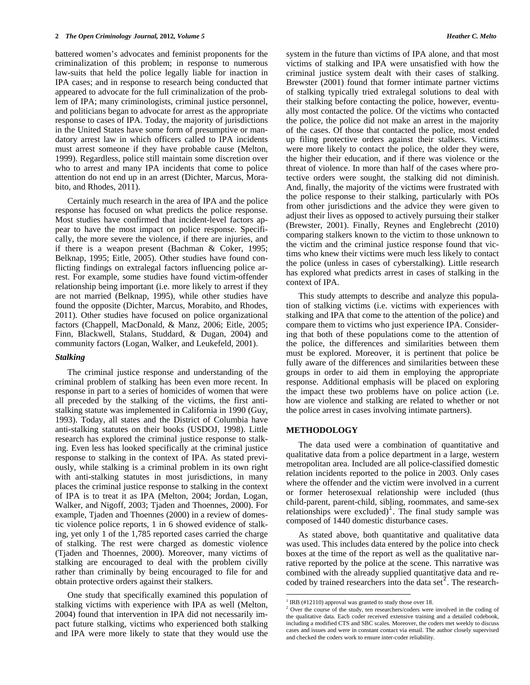battered women's advocates and feminist proponents for the criminalization of this problem; in response to numerous law-suits that held the police legally liable for inaction in IPA cases; and in response to research being conducted that appeared to advocate for the full criminalization of the problem of IPA; many criminologists, criminal justice personnel, and politicians began to advocate for arrest as the appropriate response to cases of IPA. Today, the majority of jurisdictions in the United States have some form of presumptive or mandatory arrest law in which officers called to IPA incidents must arrest someone if they have probable cause (Melton, 1999). Regardless, police still maintain some discretion over who to arrest and many IPA incidents that come to police attention do not end up in an arrest (Dichter, Marcus, Morabito, and Rhodes, 2011).

 Certainly much research in the area of IPA and the police response has focused on what predicts the police response. Most studies have confirmed that incident-level factors appear to have the most impact on police response. Specifically, the more severe the violence, if there are injuries, and if there is a weapon present (Bachman & Coker, 1995; Belknap, 1995; Eitle, 2005). Other studies have found conflicting findings on extralegal factors influencing police arrest. For example, some studies have found victim-offender relationship being important (i.e. more likely to arrest if they are not married (Belknap, 1995), while other studies have found the opposite (Dichter, Marcus, Morabito, and Rhodes, 2011). Other studies have focused on police organizational factors (Chappell, MacDonald, & Manz, 2006; Eitle, 2005; Finn, Blackwell, Stalans, Studdard, & Dugan, 2004) and community factors (Logan, Walker, and Leukefeld, 2001).

## *Stalking*

 The criminal justice response and understanding of the criminal problem of stalking has been even more recent. In response in part to a series of homicides of women that were all preceded by the stalking of the victims, the first antistalking statute was implemented in California in 1990 (Guy, 1993). Today, all states and the District of Columbia have anti-stalking statutes on their books (USDOJ, 1998). Little research has explored the criminal justice response to stalking. Even less has looked specifically at the criminal justice response to stalking in the context of IPA. As stated previously, while stalking is a criminal problem in its own right with anti-stalking statutes in most jurisdictions, in many places the criminal justice response to stalking in the context of IPA is to treat it as IPA (Melton, 2004; Jordan, Logan, Walker, and Nigoff, 2003; Tjaden and Thoennes, 2000). For example, Tjaden and Thoennes (2000) in a review of domestic violence police reports, 1 in 6 showed evidence of stalking, yet only 1 of the 1,785 reported cases carried the charge of stalking. The rest were charged as domestic violence (Tjaden and Thoennes, 2000). Moreover, many victims of stalking are encouraged to deal with the problem civilly rather than criminally by being encouraged to file for and obtain protective orders against their stalkers.

<span id="page-1-1"></span><span id="page-1-0"></span> One study that specifically examined this population of stalking victims with experience with IPA as well (Melton, 2004) found that intervention in IPA did not necessarily impact future stalking, victims who experienced both stalking and IPA were more likely to state that they would use the

system in the future than victims of IPA alone, and that most victims of stalking and IPA were unsatisfied with how the criminal justice system dealt with their cases of stalking. Brewster (2001) found that former intimate partner victims of stalking typically tried extralegal solutions to deal with their stalking before contacting the police, however, eventually most contacted the police. Of the victims who contacted the police, the police did not make an arrest in the majority of the cases. Of those that contacted the police, most ended up filing protective orders against their stalkers. Victims were more likely to contact the police, the older they were, the higher their education, and if there was violence or the threat of violence. In more than half of the cases where protective orders were sought, the stalking did not diminish. And, finally, the majority of the victims were frustrated with the police response to their stalking, particularly with POs from other jurisdictions and the advice they were given to adjust their lives as opposed to actively pursuing their stalker (Brewster, 2001). Finally, Reynes and Englebrecht (2010) comparing stalkers known to the victim to those unknown to the victim and the criminal justice response found that victims who knew their victims were much less likely to contact the police (unless in cases of cyberstalking). Little research has explored what predicts arrest in cases of stalking in the context of IPA.

 This study attempts to describe and analyze this population of stalking victims (i.e. victims with experiences with stalking and IPA that come to the attention of the police) and compare them to victims who just experience IPA. Considering that both of these populations come to the attention of the police, the differences and similarities between them must be explored. Moreover, it is pertinent that police be fully aware of the differences and similarities between these groups in order to aid them in employing the appropriate response. Additional emphasis will be placed on exploring the impact these two problems have on police action (i.e. how are violence and stalking are related to whether or not the police arrest in cases involving intimate partners).

# **METHODOLOGY**

 The data used were a combination of quantitative and qualitative data from a police department in a large, western metropolitan area. Included are all police-classified domestic relation incidents reported to the police in 2003. Only cases where the offender and the victim were involved in a current or former heterosexual relationship were included (thus child-parent, parent-child, sibling, roommates, and same-sex relationships were excluded)<sup>[1](#page-1-0)</sup>. The final study sample was composed of 1440 domestic disturbance cases.

 As stated above, both quantitative and qualitative data was used. This includes data entered by the police into check boxes at the time of the report as well as the qualitative narrative reported by the police at the scene. This narrative was combined with the already supplied quantitative data and recoded by trained researchers into the data set $^2$  $^2$ . The research-

<sup>&</sup>lt;sup>1</sup> IRB (#12110) approval was granted to study those over 18.

<sup>&</sup>lt;sup>2</sup> Over the course of the study, ten researchers/coders were involved in the coding of the qualitative data. Each coder received extensive training and a detailed codebook, including a modified CTS and SBC scales. Moreover, the coders met weekly to discuss cases and issues and were in constant contact via email. The author closely supervised and checked the coders work to ensure inter-coder reliability.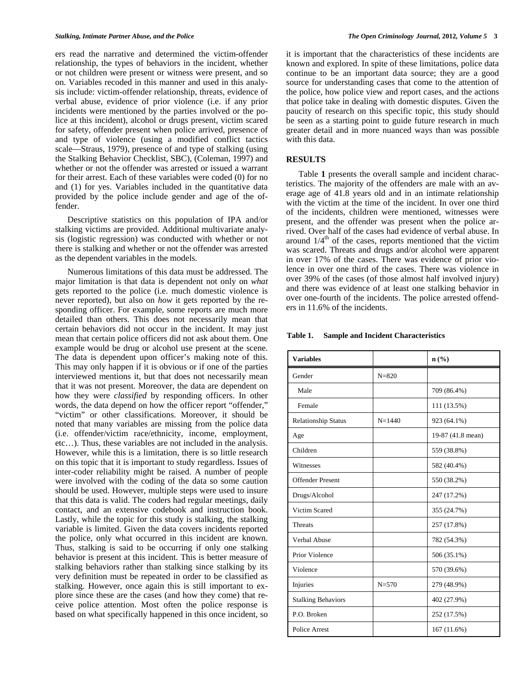ers read the narrative and determined the victim-offender relationship, the types of behaviors in the incident, whether or not children were present or witness were present, and so on. Variables recoded in this manner and used in this analysis include: victim-offender relationship, threats, evidence of verbal abuse, evidence of prior violence (i.e. if any prior incidents were mentioned by the parties involved or the police at this incident), alcohol or drugs present, victim scared for safety, offender present when police arrived, presence of and type of violence (using a modified conflict tactics scale—Straus, 1979), presence of and type of stalking (using the Stalking Behavior Checklist, SBC), (Coleman, 1997) and whether or not the offender was arrested or issued a warrant for their arrest. Each of these variables were coded (0) for no and (1) for yes. Variables included in the quantitative data provided by the police include gender and age of the offender.

 Descriptive statistics on this population of IPA and/or stalking victims are provided. Additional multivariate analysis (logistic regression) was conducted with whether or not there is stalking and whether or not the offender was arrested as the dependent variables in the models.

 Numerous limitations of this data must be addressed. The major limitation is that data is dependent not only on *what* gets reported to the police (i.e. much domestic violence is never reported), but also on *how* it gets reported by the responding officer. For example, some reports are much more detailed than others. This does not necessarily mean that certain behaviors did not occur in the incident. It may just mean that certain police officers did not ask about them. One example would be drug or alcohol use present at the scene. The data is dependent upon officer's making note of this. This may only happen if it is obvious or if one of the parties interviewed mentions it, but that does not necessarily mean that it was not present. Moreover, the data are dependent on how they were *classified* by responding officers. In other words, the data depend on how the officer report "offender," "victim" or other classifications. Moreover, it should be noted that many variables are missing from the police data (i.e. offender/victim race/ethnicity, income, employment, etc…). Thus, these variables are not included in the analysis. However, while this is a limitation, there is so little research on this topic that it is important to study regardless. Issues of inter-coder reliability might be raised. A number of people were involved with the coding of the data so some caution should be used. However, multiple steps were used to insure that this data is valid. The coders had regular meetings, daily contact, and an extensive codebook and instruction book. Lastly, while the topic for this study is stalking, the stalking variable is limited. Given the data covers incidents reported the police, only what occurred in this incident are known. Thus, stalking is said to be occurring if only one stalking behavior is present at this incident. This is better measure of stalking behaviors rather than stalking since stalking by its very definition must be repeated in order to be classified as stalking. However, once again this is still important to explore since these are the cases (and how they come) that receive police attention. Most often the police response is based on what specifically happened in this once incident, so

it is important that the characteristics of these incidents are known and explored. In spite of these limitations, police data continue to be an important data source; they are a good source for understanding cases that come to the attention of the police, how police view and report cases, and the actions that police take in dealing with domestic disputes. Given the paucity of research on this specific topic, this study should be seen as a starting point to guide future research in much greater detail and in more nuanced ways than was possible with this data.

# **RESULTS**

 Table **1** presents the overall sample and incident characteristics. The majority of the offenders are male with an average age of 41.8 years old and in an intimate relationship with the victim at the time of the incident. In over one third of the incidents, children were mentioned, witnesses were present, and the offender was present when the police arrived. Over half of the cases had evidence of verbal abuse. In around  $1/4<sup>th</sup>$  of the cases, reports mentioned that the victim was scared. Threats and drugs and/or alcohol were apparent in over 17% of the cases. There was evidence of prior violence in over one third of the cases. There was violence in over 39% of the cases (of those almost half involved injury) and there was evidence of at least one stalking behavior in over one-fourth of the incidents. The police arrested offenders in 11.6% of the incidents.

| Table 1. |  | <b>Sample and Incident Characteristics</b> |
|----------|--|--------------------------------------------|
|----------|--|--------------------------------------------|

| <b>Variables</b>           |            | n(%)              |
|----------------------------|------------|-------------------|
| Gender                     | $N = 820$  |                   |
| Male                       |            | 709 (86.4%)       |
| Female                     |            | 111 (13.5%)       |
| <b>Relationship Status</b> | $N = 1440$ | 923 (64.1%)       |
| Age                        |            | 19-87 (41.8 mean) |
| Children                   |            | 559 (38.8%)       |
| Witnesses                  |            | 582 (40.4%)       |
| <b>Offender Present</b>    |            | 550 (38.2%)       |
| Drugs/Alcohol              |            | 247 (17.2%)       |
| Victim Scared              |            | 355 (24.7%)       |
| <b>Threats</b>             |            | 257 (17.8%)       |
| Verbal Abuse               |            | 782 (54.3%)       |
| Prior Violence             |            | 506 (35.1%)       |
| Violence                   |            | 570 (39.6%)       |
| Injuries                   | $N = 570$  | 279 (48.9%)       |
| <b>Stalking Behaviors</b>  |            | 402 (27.9%)       |
| P.O. Broken                |            | 252 (17.5%)       |
| Police Arrest              |            | 167 (11.6%)       |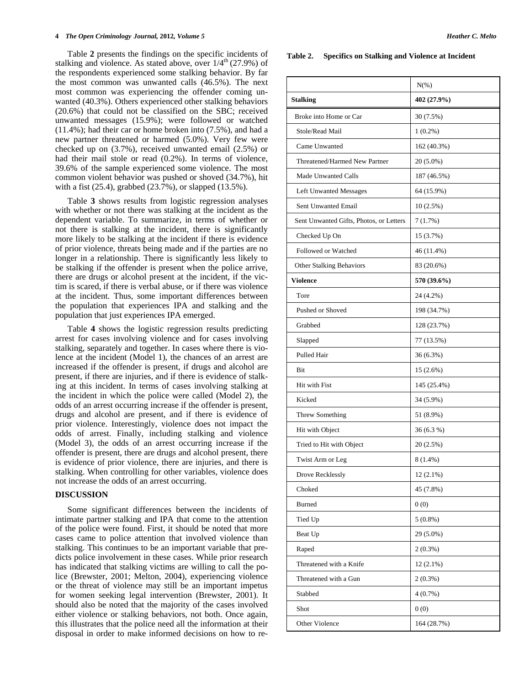#### **4** *The Open Criminology Journal,* **2012***, Volume 5 Heather C. Melto*

 Table **2** presents the findings on the specific incidents of stalking and violence. As stated above, over  $1/4^{th}$  (27.9%) of the respondents experienced some stalking behavior. By far the most common was unwanted calls (46.5%). The next most common was experiencing the offender coming unwanted (40.3%). Others experienced other stalking behaviors (20.6%) that could not be classified on the SBC; received unwanted messages (15.9%); were followed or watched (11.4%); had their car or home broken into (7.5%), and had a new partner threatened or harmed (5.0%). Very few were checked up on (3.7%), received unwanted email (2.5%) or had their mail stole or read (0.2%). In terms of violence, 39.6% of the sample experienced some violence. The most common violent behavior was pushed or shoved (34.7%), hit with a fist (25.4), grabbed (23.7%), or slapped (13.5%).

 Table **3** shows results from logistic regression analyses with whether or not there was stalking at the incident as the dependent variable. To summarize, in terms of whether or not there is stalking at the incident, there is significantly more likely to be stalking at the incident if there is evidence of prior violence, threats being made and if the parties are no longer in a relationship. There is significantly less likely to be stalking if the offender is present when the police arrive, there are drugs or alcohol present at the incident, if the victim is scared, if there is verbal abuse, or if there was violence at the incident. Thus, some important differences between the population that experiences IPA and stalking and the population that just experiences IPA emerged.

 Table **4** shows the logistic regression results predicting arrest for cases involving violence and for cases involving stalking, separately and together. In cases where there is violence at the incident (Model 1), the chances of an arrest are increased if the offender is present, if drugs and alcohol are present, if there are injuries, and if there is evidence of stalking at this incident. In terms of cases involving stalking at the incident in which the police were called (Model 2), the odds of an arrest occurring increase if the offender is present, drugs and alcohol are present, and if there is evidence of prior violence. Interestingly, violence does not impact the odds of arrest. Finally, including stalking and violence (Model 3), the odds of an arrest occurring increase if the offender is present, there are drugs and alcohol present, there is evidence of prior violence, there are injuries, and there is stalking. When controlling for other variables, violence does not increase the odds of an arrest occurring.

### **DISCUSSION**

 Some significant differences between the incidents of intimate partner stalking and IPA that come to the attention of the police were found. First, it should be noted that more cases came to police attention that involved violence than stalking. This continues to be an important variable that predicts police involvement in these cases. While prior research has indicated that stalking victims are willing to call the police (Brewster, 2001; Melton, 2004), experiencing violence or the threat of violence may still be an important impetus for women seeking legal intervention (Brewster, 2001). It should also be noted that the majority of the cases involved either violence or stalking behaviors, not both. Once again, this illustrates that the police need all the information at their disposal in order to make informed decisions on how to re-

#### **Table 2. Specifics on Stalking and Violence at Incident**

|                                         | $N(\%)$     |  |  |
|-----------------------------------------|-------------|--|--|
| <b>Stalking</b>                         | 402 (27.9%) |  |  |
| Broke into Home or Car                  | 30 (7.5%)   |  |  |
| Stole/Read Mail                         | $1(0.2\%)$  |  |  |
| Came Unwanted                           | 162 (40.3%) |  |  |
| Threatened/Harmed New Partner           | 20 (5.0%)   |  |  |
| <b>Made Unwanted Calls</b>              | 187 (46.5%) |  |  |
| <b>Left Unwanted Messages</b>           | 64 (15.9%)  |  |  |
| Sent Unwanted Email                     | 10(2.5%)    |  |  |
| Sent Unwanted Gifts, Photos, or Letters | 7(1.7%)     |  |  |
| Checked Up On                           | 15 (3.7%)   |  |  |
| Followed or Watched                     | 46 (11.4%)  |  |  |
| <b>Other Stalking Behaviors</b>         | 83 (20.6%)  |  |  |
| <b>Violence</b>                         | 570 (39.6%) |  |  |
| Tore                                    | 24 (4.2%)   |  |  |
| Pushed or Shoved                        | 198 (34.7%) |  |  |
| Grabbed                                 | 128 (23.7%) |  |  |
| Slapped                                 | 77 (13.5%)  |  |  |
| Pulled Hair                             | 36 (6.3%)   |  |  |
| Bit                                     | $15(2.6\%)$ |  |  |
| Hit with Fist                           | 145 (25.4%) |  |  |
| Kicked                                  | 34 (5.9%)   |  |  |
| Threw Something                         | 51 (8.9%)   |  |  |
| Hit with Object                         | 36 (6.3 %)  |  |  |
| Tried to Hit with Object                | 20 (2.5%)   |  |  |
| Twist Arm or Leg                        | $8(1.4\%)$  |  |  |
| Drove Recklessly                        | $12(2.1\%)$ |  |  |
| Choked                                  | 45 (7.8%)   |  |  |
| <b>Burned</b>                           | 0(0)        |  |  |
| Tied Up                                 | $5(0.8\%)$  |  |  |
| Beat Up                                 | 29 (5.0%)   |  |  |
| Raped                                   | $2(0.3\%)$  |  |  |
| Threatened with a Knife                 | $12(2.1\%)$ |  |  |
| Threatened with a Gun                   | $2(0.3\%)$  |  |  |
| Stabbed                                 | 4(0.7%)     |  |  |
| Shot                                    | 0(0)        |  |  |
| Other Violence                          | 164 (28.7%) |  |  |
|                                         |             |  |  |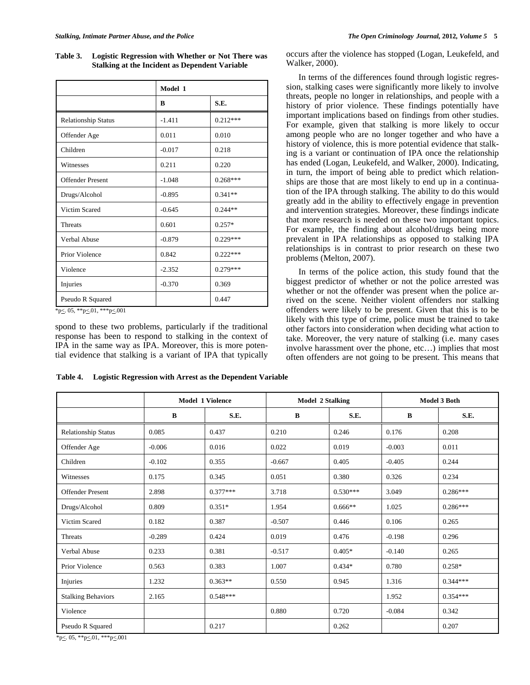**Table 3. Logistic Regression with Whether or Not There was Stalking at the Incident as Dependent Variable** 

|                            | Model 1  |            |  |
|----------------------------|----------|------------|--|
|                            | B        | S.E.       |  |
| <b>Relationship Status</b> | $-1.411$ | $0.212***$ |  |
| Offender Age               | 0.011    | 0.010      |  |
| Children                   | $-0.017$ | 0.218      |  |
| Witnesses                  | 0.211    | 0.220      |  |
| <b>Offender Present</b>    | $-1.048$ | $0.268***$ |  |
| Drugs/Alcohol              | $-0.895$ | $0.341**$  |  |
| Victim Scared              | $-0.645$ | $0.244**$  |  |
| <b>Threats</b>             | 0.601    | $0.257*$   |  |
| Verbal Abuse               | $-0.879$ | $0.229***$ |  |
| Prior Violence             | 0.842    | $0.222***$ |  |
| Violence                   | $-2.352$ | $0.279***$ |  |
| Injuries                   | $-0.370$ | 0.369      |  |
| Pseudo R Squared           |          | 0.447      |  |

 $*_{p \leq .05,**p \leq .01,***p \leq .001}$ 

spond to these two problems, particularly if the traditional response has been to respond to stalking in the context of IPA in the same way as IPA. Moreover, this is more potential evidence that stalking is a variant of IPA that typically occurs after the violence has stopped (Logan, Leukefeld, and Walker, 2000).

In terms of the differences found through logistic regression, stalking cases were significantly more likely to involve threats, people no longer in relationships, and people with a history of prior violence. These findings potentially have important implications based on findings from other studies. For example, given that stalking is more likely to occur among people who are no longer together and who have a history of violence, this is more potential evidence that stalking is a variant or continuation of IPA once the relationship has ended (Logan, Leukefeld, and Walker, 2000). Indicating, in turn, the import of being able to predict which relationships are those that are most likely to end up in a continuation of the IPA through stalking. The ability to do this would greatly add in the ability to effectively engage in prevention and intervention strategies. Moreover, these findings indicate that more research is needed on these two important topics. For example, the finding about alcohol/drugs being more prevalent in IPA relationships as opposed to stalking IPA relationships is in contrast to prior research on these two problems (Melton, 2007).

 In terms of the police action, this study found that the biggest predictor of whether or not the police arrested was whether or not the offender was present when the police arrived on the scene. Neither violent offenders nor stalking offenders were likely to be present. Given that this is to be likely with this type of crime, police must be trained to take other factors into consideration when deciding what action to take. Moreover, the very nature of stalking (i.e. many cases involve harassment over the phone, etc…) implies that most often offenders are not going to be present. This means that

|                            | <b>Model 1 Violence</b> |            | <b>Model 2 Stalking</b> |            | <b>Model 3 Both</b> |            |
|----------------------------|-------------------------|------------|-------------------------|------------|---------------------|------------|
|                            | B                       | S.E.       | $\bf{B}$                | S.E.       | $\bf{B}$            | S.E.       |
| <b>Relationship Status</b> | 0.085                   | 0.437      | 0.210                   | 0.246      | 0.176               | 0.208      |
| Offender Age               | $-0.006$                | 0.016      | 0.022                   | 0.019      | $-0.003$            | 0.011      |
| Children                   | $-0.102$                | 0.355      | $-0.667$                | 0.405      | $-0.405$            | 0.244      |
| Witnesses                  | 0.175                   | 0.345      | 0.051                   | 0.380      | 0.326               | 0.234      |
| <b>Offender Present</b>    | 2.898                   | $0.377***$ | 3.718                   | $0.530***$ | 3.049               | $0.286***$ |
| Drugs/Alcohol              | 0.809                   | $0.351*$   | 1.954                   | $0.666**$  | 1.025               | $0.286***$ |
| Victim Scared              | 0.182                   | 0.387      | $-0.507$                | 0.446      | 0.106               | 0.265      |
| Threats                    | $-0.289$                | 0.424      | 0.019                   | 0.476      | $-0.198$            | 0.296      |
| Verbal Abuse               | 0.233                   | 0.381      | $-0.517$                | $0.405*$   | $-0.140$            | 0.265      |
| Prior Violence             | 0.563                   | 0.383      | 1.007                   | $0.434*$   | 0.780               | $0.258*$   |
| Injuries                   | 1.232                   | $0.363**$  | 0.550                   | 0.945      | 1.316               | $0.344***$ |
| <b>Stalking Behaviors</b>  | 2.165                   | $0.548***$ |                         |            | 1.952               | $0.354***$ |
| Violence                   |                         |            | 0.880                   | 0.720      | $-0.084$            | 0.342      |
| Pseudo R Squared           |                         | 0.217      |                         | 0.262      |                     | 0.207      |

**Table 4. Logistic Regression with Arrest as the Dependent Variable** 

\*p<. 05, \*\*p<.01, \*\*\*p<.001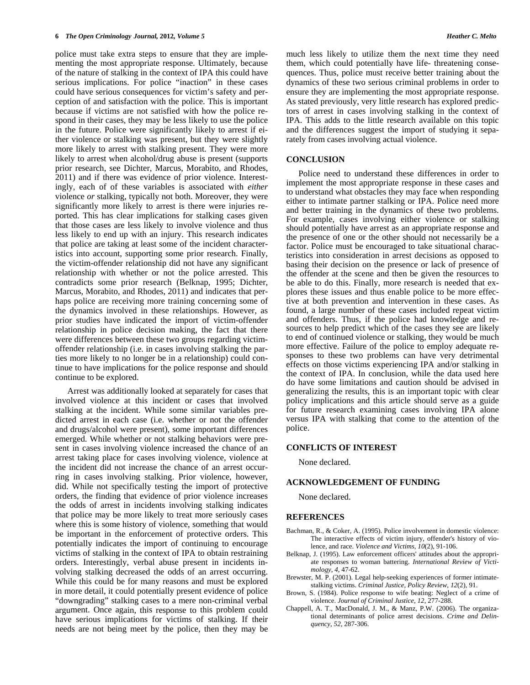police must take extra steps to ensure that they are implementing the most appropriate response. Ultimately, because of the nature of stalking in the context of IPA this could have serious implications. For police "inaction" in these cases could have serious consequences for victim's safety and perception of and satisfaction with the police. This is important because if victims are not satisfied with how the police respond in their cases, they may be less likely to use the police in the future. Police were significantly likely to arrest if either violence or stalking was present, but they were slightly more likely to arrest with stalking present. They were more likely to arrest when alcohol/drug abuse is present (supports prior research, see Dichter, Marcus, Morabito, and Rhodes, 2011) and if there was evidence of prior violence. Interestingly, each of of these variables is associated with *either* violence or stalking, typically not both. Moreover, they were significantly more likely to arrest is there were injuries reported. This has clear implications for stalking cases given that those cases are less likely to involve violence and thus less likely to end up with an injury. This research indicates that police are taking at least some of the incident characteristics into account, supporting some prior research. Finally, the victim-offender relationship did not have any significant relationship with whether or not the police arrested. This th contradicts some prior research (Belknap, 1995; Dichter, Marcus, Morabito, and Rhodes, 2011) and indicates that perhaps police are receiving more training concerning some of the dynamics involved in these relationships. However, as prior studies have indicated the import of victim-offender relationship in police decision making, the fact that there were differences between these two groups regarding victimoffender relationship (i.e. in cases involving stalking the parties more likely to no longer be in a relationship) could continue to have implications for the police response and should continue to be explored.

Arrest was additionally looked at separately for cases that involved violence at this incident or cases that involved stalking at the incident. While some similar variables predicted arrest in each case (i.e. whether or not the offender and drugs/alcohol were present), some important differences police. emerged. While whether or not stalking behaviors were present in cases involving violence increased the chance of an **CONFLICT** arrest taking place for cases involving violence, violence at the incident did not increase the chance of an arrest occurring in cases involving stalking. Prior violence, however, did. While not specifically testing the import of protective orders, the finding that evidence of prior violence increases the odds of arrest in incidents involving stalking indicates that police may be more likely to treat more seriously cases where this is some history of violence, something that would be important in the enforcement of protective orders. This potentially indicates the import of continuing to encourage victims of stalking in the context of IPA to obtain restraining Belknap, J. (199 orders. Interestingly, verbal abuse present in incidents involving stalking decreased the odds of an arrest occurring. While this could be for many reasons and must be explored in more detail, it could potentially present evidence of police "downgrading" stalking cases to a mere non-criminal verbal argument. Once again, this response to this problem could have serious implications for victims of stalking. If their needs are not being meet by the police, then they may be

much less likely to utilize them the next time they need them, which could potentially have life- threatening consequences. Thus, police must receive better training about the dynamics of these two serious criminal problems in order to ensure they are implementing the most appropriate response. As stated previously, very little research has explored predictors of arrest in cases involving stalking in the context of IPA. This adds to the little research available on this topic and the differences suggest the import of studying it separately from cases involving actual violence.

## **CONCLUSION**

the presence of one or the other should not necessarily be a basing their decision on the presence or lack of presence of e offender at the scene and then be given the resources to be able to do this. Finally, more research is needed that explores these issues and thus enable police to be more effective at both prevention and intervention in these cases. As found, a large number of these cases included repeat victim and offenders. Thus, if the police had knowledge and resources to help predict which of the cases they see are likely to end of continued violence or stalking, they would be much more effective. Failure of the police to employ adequate responses to these two problems can have very detrimental effects on those victims experiencing IPA and/or stalking in the context of IPA. In conclusion, while the data used here do have some limitations and caution should be advised in generalizing the results, this is an important topic with clear policy implications and this article should serve as a guide for future research examining cases involving IPA alone versus IPA with stalking that come to the attention of the Police need to understand these differences in order to implement the most appropriate response in these cases and to understand what obstacles they may face when responding either to intimate partner stalking or IPA. Police need more and better training in the dynamics of these two problems. For example, cases involving either violence or stalking should potentially have arrest as an appropriate response and factor. Police must be encouraged to take situational characteristics into consideration in arrest decisions as opposed to

#### **CONFLICTS OF INTEREST**

None declared.

#### **ACKNOWLEDGEMENT OF FUNDING**

None declared.

#### **REFERENCES**

- Bachman, R., & Coker, A. (1995). Police involvement in domestic violence: The interactive effects of victim injury, offender's history of violence, and race. *Violence and Victims, 10*(2), 91-106.
- Belknap, J. (1995). Law enforcement officers' attitudes about the appropriate responses to woman battering. *International Review of Victimology, 4*, 47-62.
- Brewster, M. P. (2001). Legal help-seeking experiences of former intimatestalking victims. *Criminal Justice, Policy Review, 12*(2), 91.
- Brown, S. (1984). Police response to wife beating: Neglect of a crime of violence. *Journal of Criminal Justice, 12*, 277-288.
- Chappell, A. T., MacDonald, J. M., & Manz, P.W. (2006). The organizational determinants of police arrest decisions. *Crime and Delinquency, 52*, 287-306.